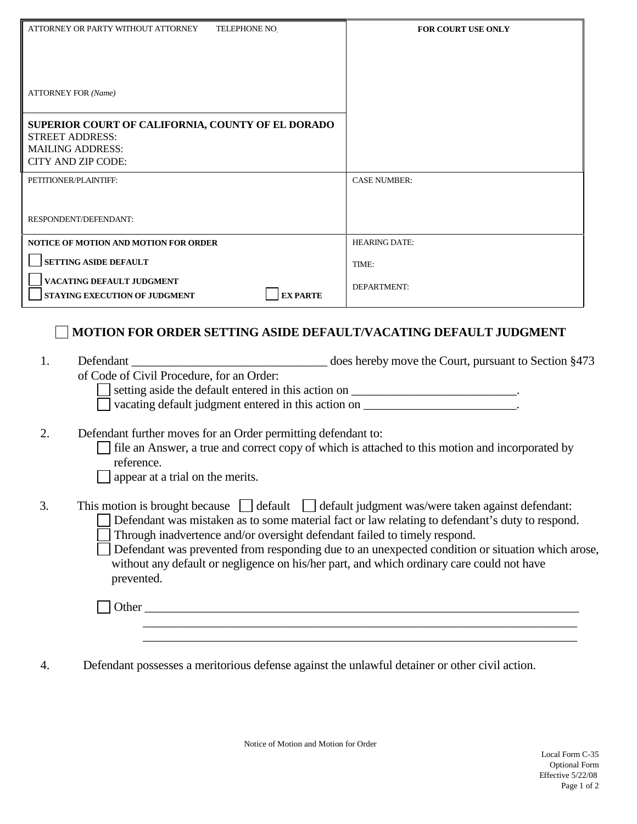| ATTORNEY OR PARTY WITHOUT ATTORNEY<br><b>TELEPHONE NO</b>                                                                      | <b>FOR COURT USE ONLY</b>                                                                        |
|--------------------------------------------------------------------------------------------------------------------------------|--------------------------------------------------------------------------------------------------|
|                                                                                                                                |                                                                                                  |
|                                                                                                                                |                                                                                                  |
| <b>ATTORNEY FOR (Name)</b>                                                                                                     |                                                                                                  |
| SUPERIOR COURT OF CALIFORNIA, COUNTY OF EL DORADO<br><b>STREET ADDRESS:</b>                                                    |                                                                                                  |
| <b>MAILING ADDRESS:</b>                                                                                                        |                                                                                                  |
| <b>CITY AND ZIP CODE:</b><br>PETITIONER/PLAINTIFF:                                                                             | <b>CASE NUMBER:</b>                                                                              |
|                                                                                                                                |                                                                                                  |
| RESPONDENT/DEFENDANT:                                                                                                          |                                                                                                  |
| <b>NOTICE OF MOTION AND MOTION FOR ORDER</b>                                                                                   | <b>HEARING DATE:</b>                                                                             |
| <b>SETTING ASIDE DEFAULT</b>                                                                                                   | TIME:                                                                                            |
| VACATING DEFAULT JUDGMENT<br><b>EXPARTE</b><br><b>STAYING EXECUTION OF JUDGMENT</b>                                            | DEPARTMENT:                                                                                      |
|                                                                                                                                |                                                                                                  |
| <b>MOTION FOR ORDER SETTING ASIDE DEFAULT/VACATING DEFAULT JUDGMENT</b>                                                        |                                                                                                  |
| 1.<br>Defendant                                                                                                                | does hereby move the Court, pursuant to Section §473                                             |
| of Code of Civil Procedure, for an Order:<br>setting aside the default entered in this action on ____________________________. |                                                                                                  |
| vacating default judgment entered in this action on ____________________________.                                              |                                                                                                  |
| 2.<br>Defendant further moves for an Order permitting defendant to:                                                            |                                                                                                  |
| file an Answer, a true and correct copy of which is attached to this motion and incorporated by                                |                                                                                                  |
| reference.<br>appear at a trial on the merits.                                                                                 |                                                                                                  |
|                                                                                                                                |                                                                                                  |
| 3.<br>This motion is brought because $\Box$ default $\Box$ default judgment was/were taken against defendant:                  | Defendant was mistaken as to some material fact or law relating to defendant's duty to respond.  |
| Through inadvertence and/or oversight defendant failed to timely respond.                                                      |                                                                                                  |
| without any default or negligence on his/her part, and which ordinary care could not have                                      | Defendant was prevented from responding due to an unexpected condition or situation which arose, |
| prevented.                                                                                                                     |                                                                                                  |
|                                                                                                                                |                                                                                                  |
|                                                                                                                                | ,我们也不能在这里的时候,我们也不能在这里的时候,我们也不能会在这里的时候,我们也不能会在这里的时候,我们也不能会在这里的时候,我们也不能会在这里的时候,我们也                 |
|                                                                                                                                |                                                                                                  |
| Defendant possesses a meritorious defense against the unlawful detainer or other civil action.<br>4.                           |                                                                                                  |